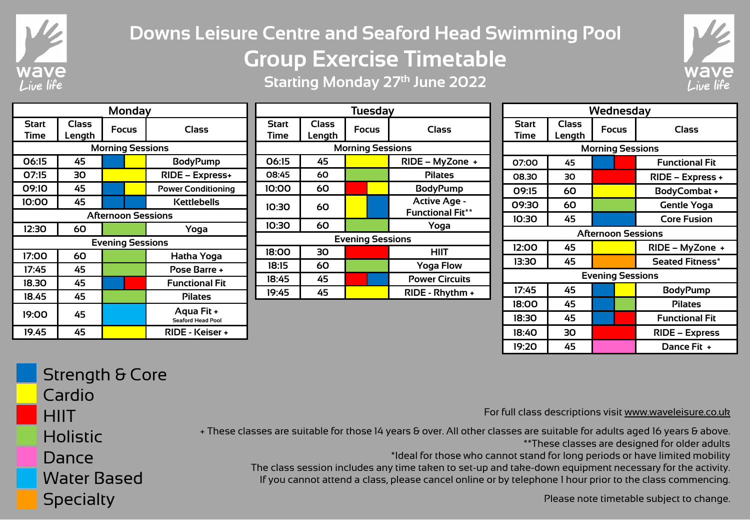

## **Downs Leisure Centre and Seaford Head Swimming Pool Group Exercise Timetable Starting Monday 27th June 2022**



| <b>Monday</b>             |                        |       |  |                                        |  |
|---------------------------|------------------------|-------|--|----------------------------------------|--|
| <b>Start</b><br>Time      | <b>Class</b><br>Length | Focus |  | Class                                  |  |
|                           |                        |       |  | <b>Morning Sessions</b>                |  |
| 06:15                     | 45                     |       |  | <b>BodyPump</b>                        |  |
| 07:15                     | 30                     |       |  | RIDE - Express+                        |  |
| 09:10                     | 45                     |       |  | <b>Power Conditioning</b>              |  |
| 10:00                     | 45                     |       |  | Kettlebells                            |  |
| <b>Afternoon Sessions</b> |                        |       |  |                                        |  |
| 12:30                     | 60                     |       |  | Yoga                                   |  |
| <b>Evening Sessions</b>   |                        |       |  |                                        |  |
| 17:00                     | 60                     |       |  | Hatha Yoga                             |  |
| 17:45                     | 45                     |       |  | Pose Barre +                           |  |
| 18.30                     | 45                     |       |  | <b>Functional Fit</b>                  |  |
| 18.45                     | 45                     |       |  | <b>Pilates</b>                         |  |
| 19:00                     | 45                     |       |  | Aqua Fit +<br><b>Seaford Head Pool</b> |  |
| 19.45                     | 45                     |       |  | RIDE - Keiser +                        |  |

| <b>Tuesday</b>              |                        |              |  |                                                |  |
|-----------------------------|------------------------|--------------|--|------------------------------------------------|--|
| <b>Start</b><br><b>Time</b> | <b>Class</b><br>Length | <b>Focus</b> |  | Class                                          |  |
|                             |                        |              |  | <b>Morning Sessions</b>                        |  |
| 06:15                       | 45                     |              |  | RIDE - MyZone +                                |  |
| 08:45                       | 60                     |              |  | <b>Pilates</b>                                 |  |
| 10:00                       | 60                     |              |  | <b>BodyPump</b>                                |  |
| 10:30                       | 60                     |              |  | <b>Active Age -</b><br><b>Functional Fit**</b> |  |
| 10:30                       | 60                     |              |  | Yoga                                           |  |
| <b>Evening Sessions</b>     |                        |              |  |                                                |  |
| 18:00                       | 30                     |              |  | <b>HIIT</b>                                    |  |
| 18:15                       | 60                     |              |  | <b>Yoga Flow</b>                               |  |
| 18:45                       | 45                     |              |  | <b>Power Circuits</b>                          |  |
| 19:45                       | 45                     |              |  | RIDE - Rhythm +                                |  |

| Wednesday                 |                        |              |  |                         |  |
|---------------------------|------------------------|--------------|--|-------------------------|--|
| <b>Start</b><br>Time      | <b>Class</b><br>Length | <b>Focus</b> |  | <b>Class</b>            |  |
|                           |                        |              |  | <b>Morning Sessions</b> |  |
| 07:00                     | 45                     |              |  | <b>Functional Fit</b>   |  |
| 08.30                     | 30                     |              |  | RIDE – Express +        |  |
| 09:15                     | 60                     |              |  | <b>BodyCombat +</b>     |  |
| 09:30                     | 60                     |              |  | Gentle Yoga             |  |
| 10:30                     | 45                     |              |  | <b>Core Fusion</b>      |  |
| <b>Afternoon Sessions</b> |                        |              |  |                         |  |
| 12:00                     | 45                     |              |  | RIDE - MyZone +         |  |
| 13:30                     | 45                     |              |  | <b>Seated Fitness*</b>  |  |
|                           |                        |              |  | <b>Evening Sessions</b> |  |
| 17:45                     | 45                     |              |  | <b>BodyPump</b>         |  |
| 18:00                     | 45                     |              |  | <b>Pilates</b>          |  |
| 18:30                     | 45                     |              |  | <b>Functional Fit</b>   |  |
| 18:40                     | 30                     |              |  | RIDE – Express          |  |
| 19:20                     | 45                     |              |  | Dance Fit +             |  |

| <b>Strength &amp; Core</b> |                                                                                                                                                                                        |
|----------------------------|----------------------------------------------------------------------------------------------------------------------------------------------------------------------------------------|
| Cardio                     |                                                                                                                                                                                        |
| <b>HIIT</b>                | For full class descriptions visit www.waveleisure.co.uk                                                                                                                                |
| <b>Holistic</b>            | + These classes are suitable for those 14 years & over. All other classes are suitable for adults aged 16 years & above.<br>** These classes are designed for older adults             |
| Dance                      | *Ideal for those who cannot stand for long periods or have limited mobility<br>The class session includes any time taken to set-up and take-down equipment necessary for the activity. |
| <b>Water Based</b>         | If you cannot attend a class, please cancel online or by telephone I hour prior to the class commencing.                                                                               |
| <b>Specialty</b>           | Please note timetable subject to change.                                                                                                                                               |